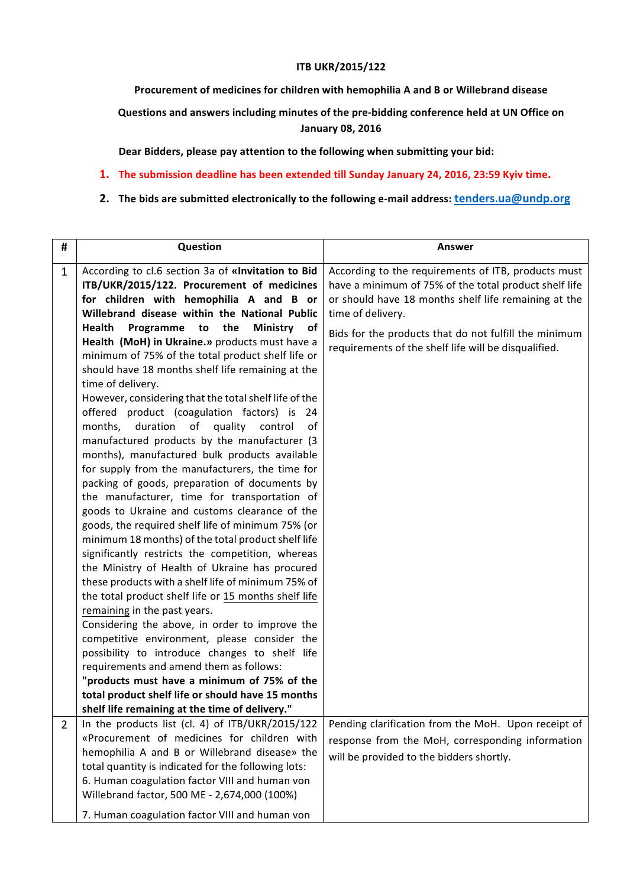## **ITB UKR/2015/122**

Procurement of medicines for children with hemophilia A and B or Willebrand disease

**Questions and answers including minutes of the pre-bidding conference held at UN Office on January 08, 2016**

Dear Bidders, please pay attention to the following when submitting your bid:

- 1. The submission deadline has been extended till Sunday January 24, 2016, 23:59 Kyiv time.
- **2.** The bids are submitted electronically to the following e-mail address: *tenders.ua@undp.org*

| #              | Question                                                                                                                                                                                                                                                                                                                                                                                                                                                                                                                                                                                                                                                                                                                                                                                                                                                                                                                                                                                                                                                                                                                                                                                                                                                                                                                                                                 | Answer                                                                                                                                                                                                                                                                                                     |
|----------------|--------------------------------------------------------------------------------------------------------------------------------------------------------------------------------------------------------------------------------------------------------------------------------------------------------------------------------------------------------------------------------------------------------------------------------------------------------------------------------------------------------------------------------------------------------------------------------------------------------------------------------------------------------------------------------------------------------------------------------------------------------------------------------------------------------------------------------------------------------------------------------------------------------------------------------------------------------------------------------------------------------------------------------------------------------------------------------------------------------------------------------------------------------------------------------------------------------------------------------------------------------------------------------------------------------------------------------------------------------------------------|------------------------------------------------------------------------------------------------------------------------------------------------------------------------------------------------------------------------------------------------------------------------------------------------------------|
| $\mathbf{1}$   | According to cl.6 section 3a of «Invitation to Bid<br>ITB/UKR/2015/122. Procurement of medicines<br>for children with hemophilia A and B or<br>Willebrand disease within the National Public<br>Programme to<br>the<br>Health<br>Ministry of<br>Health (MoH) in Ukraine.» products must have a<br>minimum of 75% of the total product shelf life or<br>should have 18 months shelf life remaining at the<br>time of delivery.<br>However, considering that the total shelf life of the<br>offered product (coagulation factors) is<br>24<br>duration<br>of<br>months,<br>quality<br>control<br>of<br>manufactured products by the manufacturer (3<br>months), manufactured bulk products available<br>for supply from the manufacturers, the time for<br>packing of goods, preparation of documents by<br>the manufacturer, time for transportation of<br>goods to Ukraine and customs clearance of the<br>goods, the required shelf life of minimum 75% (or<br>minimum 18 months) of the total product shelf life<br>significantly restricts the competition, whereas<br>the Ministry of Health of Ukraine has procured<br>these products with a shelf life of minimum 75% of<br>the total product shelf life or 15 months shelf life<br>remaining in the past years.<br>Considering the above, in order to improve the<br>competitive environment, please consider the | According to the requirements of ITB, products must<br>have a minimum of 75% of the total product shelf life<br>or should have 18 months shelf life remaining at the<br>time of delivery.<br>Bids for the products that do not fulfill the minimum<br>requirements of the shelf life will be disqualified. |
|                | possibility to introduce changes to shelf life<br>requirements and amend them as follows:<br>"products must have a minimum of 75% of the                                                                                                                                                                                                                                                                                                                                                                                                                                                                                                                                                                                                                                                                                                                                                                                                                                                                                                                                                                                                                                                                                                                                                                                                                                 |                                                                                                                                                                                                                                                                                                            |
|                | total product shelf life or should have 15 months                                                                                                                                                                                                                                                                                                                                                                                                                                                                                                                                                                                                                                                                                                                                                                                                                                                                                                                                                                                                                                                                                                                                                                                                                                                                                                                        |                                                                                                                                                                                                                                                                                                            |
|                | shelf life remaining at the time of delivery."                                                                                                                                                                                                                                                                                                                                                                                                                                                                                                                                                                                                                                                                                                                                                                                                                                                                                                                                                                                                                                                                                                                                                                                                                                                                                                                           |                                                                                                                                                                                                                                                                                                            |
| $\overline{2}$ | In the products list (cl. 4) of ITB/UKR/2015/122<br>«Procurement of medicines for children with                                                                                                                                                                                                                                                                                                                                                                                                                                                                                                                                                                                                                                                                                                                                                                                                                                                                                                                                                                                                                                                                                                                                                                                                                                                                          | Pending clarification from the MoH. Upon receipt of                                                                                                                                                                                                                                                        |
|                | hemophilia A and B or Willebrand disease» the<br>total quantity is indicated for the following lots:                                                                                                                                                                                                                                                                                                                                                                                                                                                                                                                                                                                                                                                                                                                                                                                                                                                                                                                                                                                                                                                                                                                                                                                                                                                                     | response from the MoH, corresponding information<br>will be provided to the bidders shortly.                                                                                                                                                                                                               |
|                | 6. Human coagulation factor VIII and human von<br>Willebrand factor, 500 ME - 2,674,000 (100%)                                                                                                                                                                                                                                                                                                                                                                                                                                                                                                                                                                                                                                                                                                                                                                                                                                                                                                                                                                                                                                                                                                                                                                                                                                                                           |                                                                                                                                                                                                                                                                                                            |
|                | 7. Human coagulation factor VIII and human von                                                                                                                                                                                                                                                                                                                                                                                                                                                                                                                                                                                                                                                                                                                                                                                                                                                                                                                                                                                                                                                                                                                                                                                                                                                                                                                           |                                                                                                                                                                                                                                                                                                            |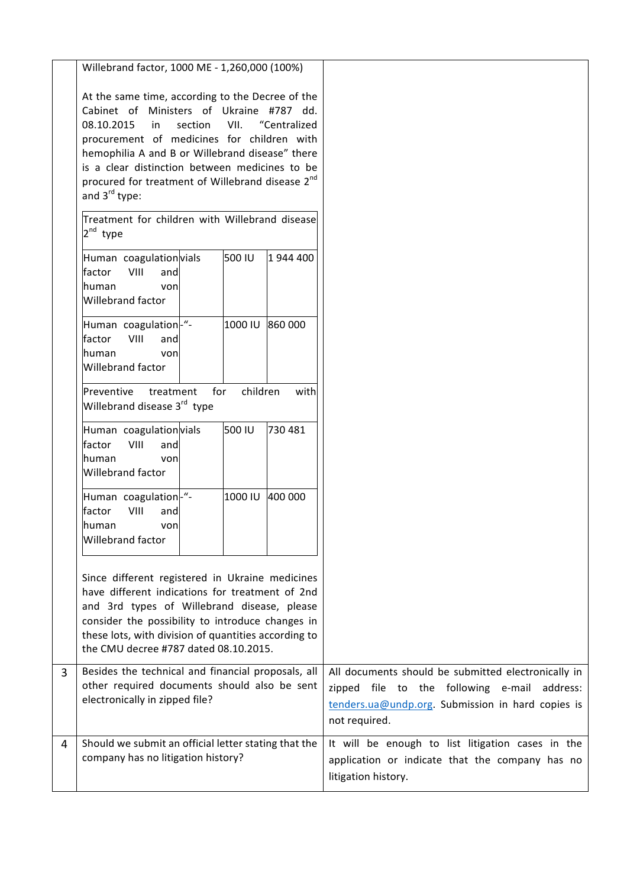|   | Willebrand factor, 1000 ME - 1,260,000 (100%)                                                                                                                                                                                                                                                                                                                                                       |                                                                                                                                                                           |
|---|-----------------------------------------------------------------------------------------------------------------------------------------------------------------------------------------------------------------------------------------------------------------------------------------------------------------------------------------------------------------------------------------------------|---------------------------------------------------------------------------------------------------------------------------------------------------------------------------|
|   | At the same time, according to the Decree of the<br>Cabinet of Ministers of Ukraine #787 dd.<br>08.10.2015<br>VII.<br>"Centralized<br>section<br>in<br>procurement of medicines for children with<br>hemophilia A and B or Willebrand disease" there<br>is a clear distinction between medicines to be<br>procured for treatment of Willebrand disease 2 <sup>nd</sup><br>and $3^{\text{rd}}$ type: |                                                                                                                                                                           |
|   | Treatment for children with Willebrand disease<br>$2^{nd}$ type                                                                                                                                                                                                                                                                                                                                     |                                                                                                                                                                           |
|   | Human coagulationvials<br>500 IU<br>1944 400<br>factor<br>VIII<br>and<br>human<br>von<br><b>Willebrand factor</b>                                                                                                                                                                                                                                                                                   |                                                                                                                                                                           |
|   | Human coagulation-"-<br>1000 IU 860 000<br>factor<br>VIII<br>and<br>human<br>von<br><b>Willebrand factor</b>                                                                                                                                                                                                                                                                                        |                                                                                                                                                                           |
|   | children<br>Preventive<br>treatment<br>for<br>with<br>Willebrand disease 3 <sup>rd</sup> type                                                                                                                                                                                                                                                                                                       |                                                                                                                                                                           |
|   | Human coagulationvials<br>500 IU<br>730 481<br>VIII<br>and<br>factor<br>human<br>von<br><b>Willebrand factor</b>                                                                                                                                                                                                                                                                                    |                                                                                                                                                                           |
|   | Human coagulation-"-<br>1000 IU<br>400 000<br>VIII<br>factor<br>and<br>human<br>von<br>Willebrand factor                                                                                                                                                                                                                                                                                            |                                                                                                                                                                           |
|   | Since different registered in Ukraine medicines<br>have different indications for treatment of 2nd<br>and 3rd types of Willebrand disease, please<br>consider the possibility to introduce changes in<br>these lots, with division of quantities according to<br>the CMU decree #787 dated 08.10.2015.                                                                                              |                                                                                                                                                                           |
| 3 | Besides the technical and financial proposals, all<br>other required documents should also be sent<br>electronically in zipped file?                                                                                                                                                                                                                                                                | All documents should be submitted electronically in<br>zipped file to the following e-mail address:<br>tenders.ua@undp.org. Submission in hard copies is<br>not required. |
| 4 | Should we submit an official letter stating that the<br>company has no litigation history?                                                                                                                                                                                                                                                                                                          | It will be enough to list litigation cases in the<br>application or indicate that the company has no<br>litigation history.                                               |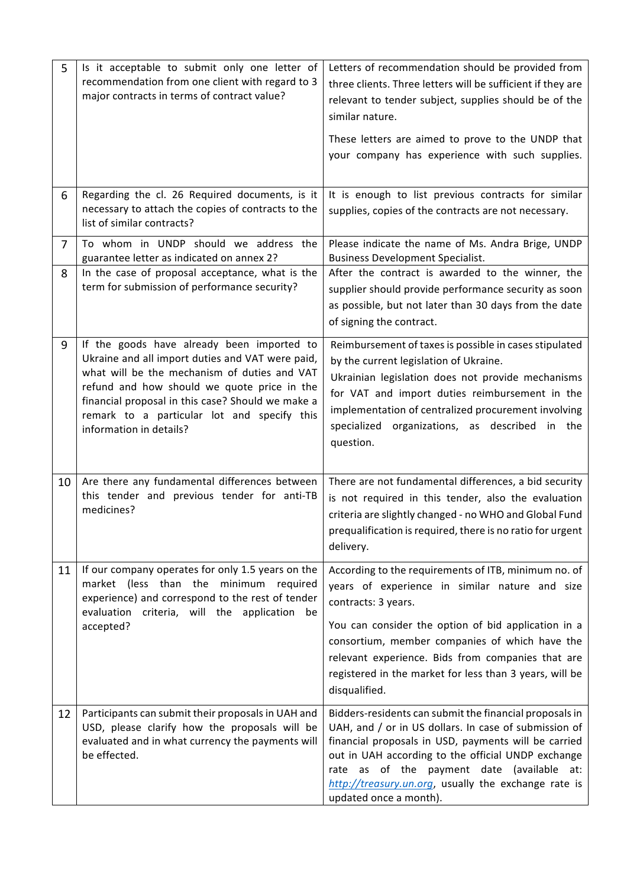| 5              | Is it acceptable to submit only one letter of<br>recommendation from one client with regard to 3<br>major contracts in terms of contract value?                                                                                                                                                                              | Letters of recommendation should be provided from<br>three clients. Three letters will be sufficient if they are<br>relevant to tender subject, supplies should be of the<br>similar nature.<br>These letters are aimed to prove to the UNDP that<br>your company has experience with such supplies.                                                                    |
|----------------|------------------------------------------------------------------------------------------------------------------------------------------------------------------------------------------------------------------------------------------------------------------------------------------------------------------------------|-------------------------------------------------------------------------------------------------------------------------------------------------------------------------------------------------------------------------------------------------------------------------------------------------------------------------------------------------------------------------|
| 6              | Regarding the cl. 26 Required documents, is it<br>necessary to attach the copies of contracts to the<br>list of similar contracts?                                                                                                                                                                                           | It is enough to list previous contracts for similar<br>supplies, copies of the contracts are not necessary.                                                                                                                                                                                                                                                             |
| $\overline{7}$ | To whom in UNDP should we address the<br>guarantee letter as indicated on annex 2?                                                                                                                                                                                                                                           | Please indicate the name of Ms. Andra Brige, UNDP<br><b>Business Development Specialist.</b>                                                                                                                                                                                                                                                                            |
| 8              | In the case of proposal acceptance, what is the<br>term for submission of performance security?                                                                                                                                                                                                                              | After the contract is awarded to the winner, the<br>supplier should provide performance security as soon<br>as possible, but not later than 30 days from the date<br>of signing the contract.                                                                                                                                                                           |
| 9              | If the goods have already been imported to<br>Ukraine and all import duties and VAT were paid,<br>what will be the mechanism of duties and VAT<br>refund and how should we quote price in the<br>financial proposal in this case? Should we make a<br>remark to a particular lot and specify this<br>information in details? | Reimbursement of taxes is possible in cases stipulated<br>by the current legislation of Ukraine.<br>Ukrainian legislation does not provide mechanisms<br>for VAT and import duties reimbursement in the<br>implementation of centralized procurement involving<br>specialized organizations, as described<br>in the<br>question.                                        |
| 10             | Are there any fundamental differences between<br>this tender and previous tender for anti-TB<br>medicines?                                                                                                                                                                                                                   | There are not fundamental differences, a bid security<br>is not required in this tender, also the evaluation<br>criteria are slightly changed - no WHO and Global Fund<br>prequalification is required, there is no ratio for urgent<br>delivery.                                                                                                                       |
| 11             | If our company operates for only 1.5 years on the<br>market (less than the<br>minimum required<br>experience) and correspond to the rest of tender<br>evaluation criteria, will the application be<br>accepted?                                                                                                              | According to the requirements of ITB, minimum no. of<br>years of experience in similar nature and size<br>contracts: 3 years.<br>You can consider the option of bid application in a<br>consortium, member companies of which have the<br>relevant experience. Bids from companies that are<br>registered in the market for less than 3 years, will be<br>disqualified. |
| 12             | Participants can submit their proposals in UAH and<br>USD, please clarify how the proposals will be<br>evaluated and in what currency the payments will<br>be effected.                                                                                                                                                      | Bidders-residents can submit the financial proposals in<br>UAH, and / or in US dollars. In case of submission of<br>financial proposals in USD, payments will be carried<br>out in UAH according to the official UNDP exchange<br>rate as of the payment date (available at:<br>http://treasury.un.org, usually the exchange rate is<br>updated once a month).          |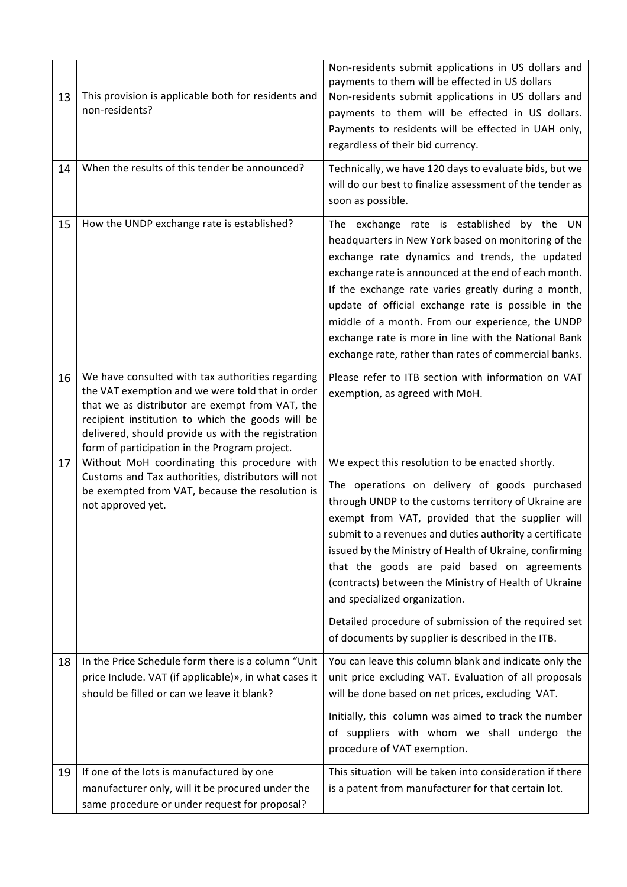|    |                                                                                                                                                                                                                                                                                                                    | Non-residents submit applications in US dollars and<br>payments to them will be effected in US dollars                                                                                                                                                                                                                                                                                                                                                                                                                               |
|----|--------------------------------------------------------------------------------------------------------------------------------------------------------------------------------------------------------------------------------------------------------------------------------------------------------------------|--------------------------------------------------------------------------------------------------------------------------------------------------------------------------------------------------------------------------------------------------------------------------------------------------------------------------------------------------------------------------------------------------------------------------------------------------------------------------------------------------------------------------------------|
| 13 | This provision is applicable both for residents and<br>non-residents?                                                                                                                                                                                                                                              | Non-residents submit applications in US dollars and<br>payments to them will be effected in US dollars.<br>Payments to residents will be effected in UAH only,<br>regardless of their bid currency.                                                                                                                                                                                                                                                                                                                                  |
| 14 | When the results of this tender be announced?                                                                                                                                                                                                                                                                      | Technically, we have 120 days to evaluate bids, but we<br>will do our best to finalize assessment of the tender as<br>soon as possible.                                                                                                                                                                                                                                                                                                                                                                                              |
| 15 | How the UNDP exchange rate is established?                                                                                                                                                                                                                                                                         | The exchange rate is established by the UN<br>headquarters in New York based on monitoring of the<br>exchange rate dynamics and trends, the updated<br>exchange rate is announced at the end of each month.<br>If the exchange rate varies greatly during a month,<br>update of official exchange rate is possible in the<br>middle of a month. From our experience, the UNDP<br>exchange rate is more in line with the National Bank<br>exchange rate, rather than rates of commercial banks.                                       |
| 16 | We have consulted with tax authorities regarding<br>the VAT exemption and we were told that in order<br>that we as distributor are exempt from VAT, the<br>recipient institution to which the goods will be<br>delivered, should provide us with the registration<br>form of participation in the Program project. | Please refer to ITB section with information on VAT<br>exemption, as agreed with MoH.                                                                                                                                                                                                                                                                                                                                                                                                                                                |
| 17 | Without MoH coordinating this procedure with<br>Customs and Tax authorities, distributors will not<br>be exempted from VAT, because the resolution is<br>not approved yet.                                                                                                                                         | We expect this resolution to be enacted shortly.<br>The operations on delivery of goods purchased<br>through UNDP to the customs territory of Ukraine are<br>exempt from VAT, provided that the supplier will<br>submit to a revenues and duties authority a certificate<br>issued by the Ministry of Health of Ukraine, confirming<br>that the goods are paid based on agreements<br>(contracts) between the Ministry of Health of Ukraine<br>and specialized organization.<br>Detailed procedure of submission of the required set |
|    |                                                                                                                                                                                                                                                                                                                    | of documents by supplier is described in the ITB.                                                                                                                                                                                                                                                                                                                                                                                                                                                                                    |
| 18 | In the Price Schedule form there is a column "Unit<br>price Include. VAT (if applicable)», in what cases it<br>should be filled or can we leave it blank?                                                                                                                                                          | You can leave this column blank and indicate only the<br>unit price excluding VAT. Evaluation of all proposals<br>will be done based on net prices, excluding VAT.<br>Initially, this column was aimed to track the number<br>of suppliers with whom we shall undergo the<br>procedure of VAT exemption.                                                                                                                                                                                                                             |
| 19 | If one of the lots is manufactured by one<br>manufacturer only, will it be procured under the<br>same procedure or under request for proposal?                                                                                                                                                                     | This situation will be taken into consideration if there<br>is a patent from manufacturer for that certain lot.                                                                                                                                                                                                                                                                                                                                                                                                                      |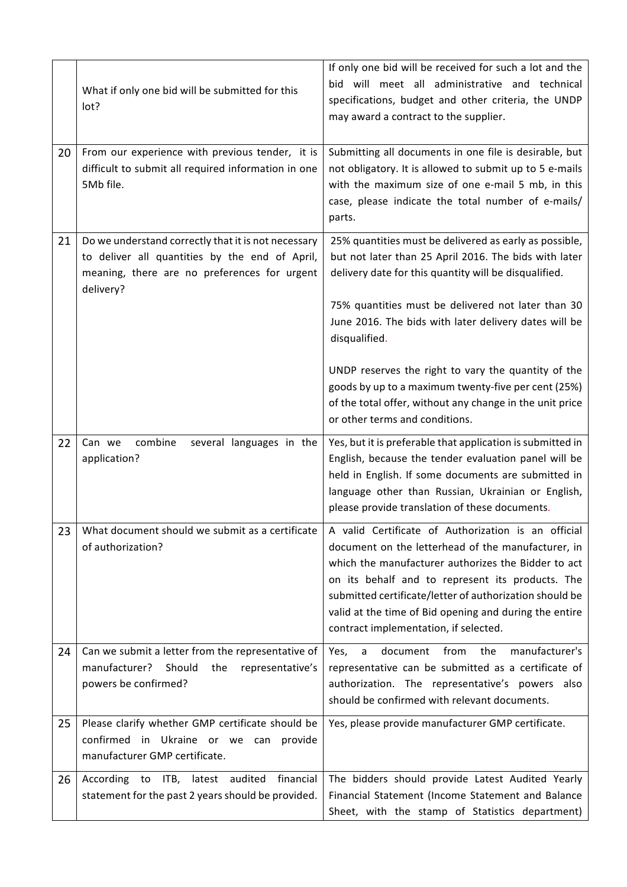|    | What if only one bid will be submitted for this<br>lot?                                                                                                            | If only one bid will be received for such a lot and the<br>bid will meet all administrative and technical<br>specifications, budget and other criteria, the UNDP<br>may award a contract to the supplier.                                                                                                                                                                          |
|----|--------------------------------------------------------------------------------------------------------------------------------------------------------------------|------------------------------------------------------------------------------------------------------------------------------------------------------------------------------------------------------------------------------------------------------------------------------------------------------------------------------------------------------------------------------------|
| 20 | From our experience with previous tender, it is<br>difficult to submit all required information in one<br>5Mb file.                                                | Submitting all documents in one file is desirable, but<br>not obligatory. It is allowed to submit up to 5 e-mails<br>with the maximum size of one e-mail 5 mb, in this<br>case, please indicate the total number of e-mails/<br>parts.                                                                                                                                             |
| 21 | Do we understand correctly that it is not necessary<br>to deliver all quantities by the end of April,<br>meaning, there are no preferences for urgent<br>delivery? | 25% quantities must be delivered as early as possible,<br>but not later than 25 April 2016. The bids with later<br>delivery date for this quantity will be disqualified.<br>75% quantities must be delivered not later than 30<br>June 2016. The bids with later delivery dates will be<br>disqualified.                                                                           |
|    |                                                                                                                                                                    | UNDP reserves the right to vary the quantity of the<br>goods by up to a maximum twenty-five per cent (25%)<br>of the total offer, without any change in the unit price<br>or other terms and conditions.                                                                                                                                                                           |
| 22 | combine<br>Can we<br>several languages in the<br>application?                                                                                                      | Yes, but it is preferable that application is submitted in<br>English, because the tender evaluation panel will be<br>held in English. If some documents are submitted in<br>language other than Russian, Ukrainian or English,<br>please provide translation of these documents.                                                                                                  |
| 23 | What document should we submit as a certificate<br>of authorization?                                                                                               | A valid Certificate of Authorization is an official<br>document on the letterhead of the manufacturer, in<br>which the manufacturer authorizes the Bidder to act<br>on its behalf and to represent its products. The<br>submitted certificate/letter of authorization should be<br>valid at the time of Bid opening and during the entire<br>contract implementation, if selected. |
| 24 | Can we submit a letter from the representative of<br>manufacturer?<br>Should<br>the<br>representative's<br>powers be confirmed?                                    | document<br>from<br>the<br>manufacturer's<br>Yes,<br>a<br>representative can be submitted as a certificate of<br>authorization. The representative's powers also<br>should be confirmed with relevant documents.                                                                                                                                                                   |
| 25 | Please clarify whether GMP certificate should be<br>confirmed in Ukraine or we can<br>provide<br>manufacturer GMP certificate.                                     | Yes, please provide manufacturer GMP certificate.                                                                                                                                                                                                                                                                                                                                  |
| 26 | latest audited<br>financial<br>According to ITB,<br>statement for the past 2 years should be provided.                                                             | The bidders should provide Latest Audited Yearly<br>Financial Statement (Income Statement and Balance<br>Sheet, with the stamp of Statistics department)                                                                                                                                                                                                                           |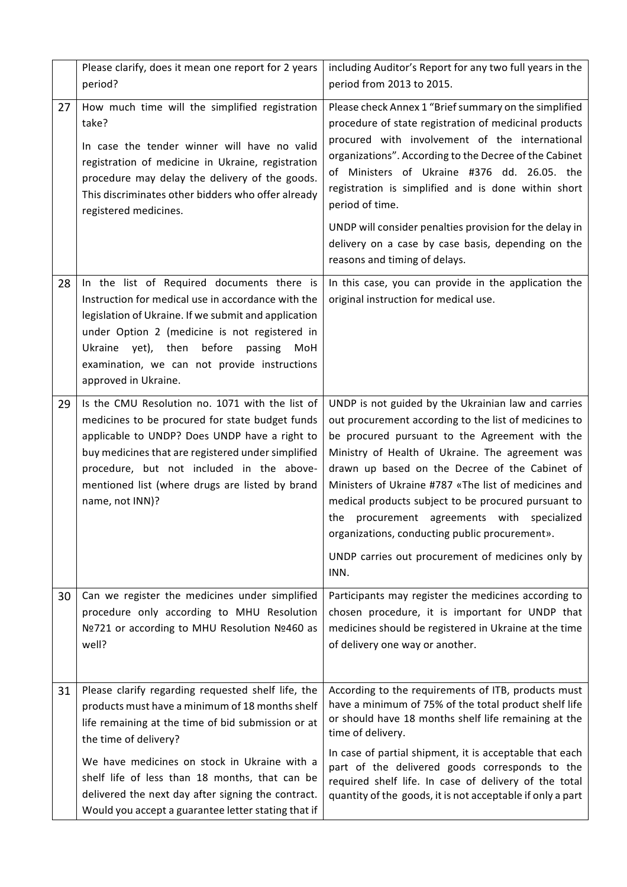|    | Please clarify, does it mean one report for 2 years<br>period?                                                                                                                                                                                                                                                                      | including Auditor's Report for any two full years in the<br>period from 2013 to 2015.                                                                                                                                                                                                                                                                                                                                                                                                                                                             |
|----|-------------------------------------------------------------------------------------------------------------------------------------------------------------------------------------------------------------------------------------------------------------------------------------------------------------------------------------|---------------------------------------------------------------------------------------------------------------------------------------------------------------------------------------------------------------------------------------------------------------------------------------------------------------------------------------------------------------------------------------------------------------------------------------------------------------------------------------------------------------------------------------------------|
| 27 | How much time will the simplified registration<br>take?<br>In case the tender winner will have no valid<br>registration of medicine in Ukraine, registration<br>procedure may delay the delivery of the goods.<br>This discriminates other bidders who offer already<br>registered medicines.                                       | Please check Annex 1 "Brief summary on the simplified<br>procedure of state registration of medicinal products<br>procured with involvement of the international<br>organizations". According to the Decree of the Cabinet<br>of Ministers of Ukraine #376 dd. 26.05. the<br>registration is simplified and is done within short<br>period of time.<br>UNDP will consider penalties provision for the delay in<br>delivery on a case by case basis, depending on the<br>reasons and timing of delays.                                             |
| 28 | In the list of Required documents there is<br>Instruction for medical use in accordance with the<br>legislation of Ukraine. If we submit and application<br>under Option 2 (medicine is not registered in<br>Ukraine yet), then<br>before<br>passing<br>MoH<br>examination, we can not provide instructions<br>approved in Ukraine. | In this case, you can provide in the application the<br>original instruction for medical use.                                                                                                                                                                                                                                                                                                                                                                                                                                                     |
| 29 | Is the CMU Resolution no. 1071 with the list of<br>medicines to be procured for state budget funds<br>applicable to UNDP? Does UNDP have a right to<br>buy medicines that are registered under simplified<br>procedure, but not included in the above-<br>mentioned list (where drugs are listed by brand<br>name, not INN)?        | UNDP is not guided by the Ukrainian law and carries<br>out procurement according to the list of medicines to<br>be procured pursuant to the Agreement with the<br>Ministry of Health of Ukraine. The agreement was<br>drawn up based on the Decree of the Cabinet of<br>Ministers of Ukraine #787 «The list of medicines and<br>medical products subject to be procured pursuant to<br>the procurement agreements with specialized<br>organizations, conducting public procurement».<br>UNDP carries out procurement of medicines only by<br>INN. |
| 30 | Can we register the medicines under simplified<br>procedure only according to MHU Resolution<br>Nº721 or according to MHU Resolution Nº460 as<br>well?                                                                                                                                                                              | Participants may register the medicines according to<br>chosen procedure, it is important for UNDP that<br>medicines should be registered in Ukraine at the time<br>of delivery one way or another.                                                                                                                                                                                                                                                                                                                                               |
| 31 | Please clarify regarding requested shelf life, the<br>products must have a minimum of 18 months shelf<br>life remaining at the time of bid submission or at<br>the time of delivery?                                                                                                                                                | According to the requirements of ITB, products must<br>have a minimum of 75% of the total product shelf life<br>or should have 18 months shelf life remaining at the<br>time of delivery.                                                                                                                                                                                                                                                                                                                                                         |
|    | We have medicines on stock in Ukraine with a<br>shelf life of less than 18 months, that can be<br>delivered the next day after signing the contract.<br>Would you accept a guarantee letter stating that if                                                                                                                         | In case of partial shipment, it is acceptable that each<br>part of the delivered goods corresponds to the<br>required shelf life. In case of delivery of the total<br>quantity of the goods, it is not acceptable if only a part                                                                                                                                                                                                                                                                                                                  |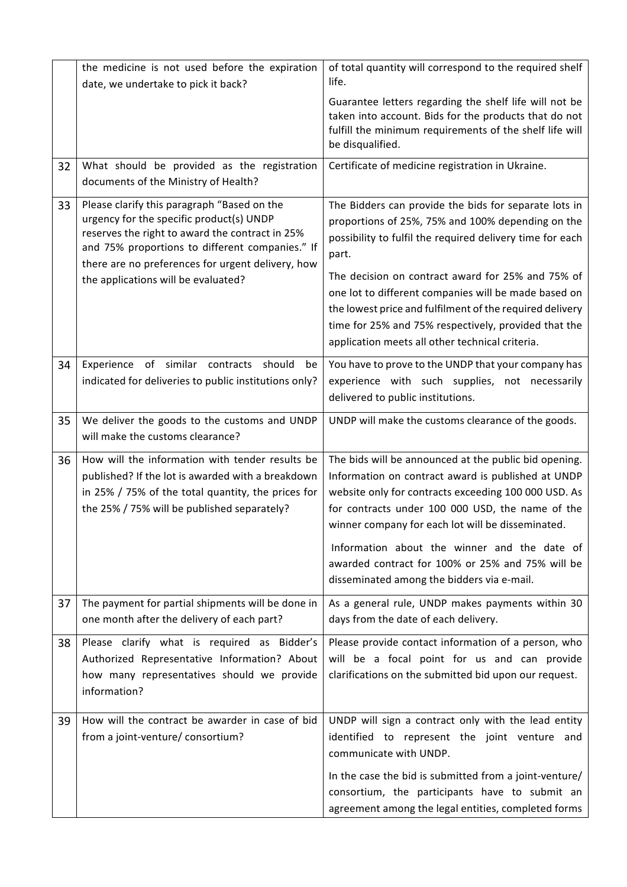|    | the medicine is not used before the expiration<br>date, we undertake to pick it back?                                                                                                                                                                                                     | of total quantity will correspond to the required shelf<br>life.                                                                                                                                                                                                                                                                                                                                                                                                     |
|----|-------------------------------------------------------------------------------------------------------------------------------------------------------------------------------------------------------------------------------------------------------------------------------------------|----------------------------------------------------------------------------------------------------------------------------------------------------------------------------------------------------------------------------------------------------------------------------------------------------------------------------------------------------------------------------------------------------------------------------------------------------------------------|
|    |                                                                                                                                                                                                                                                                                           | Guarantee letters regarding the shelf life will not be<br>taken into account. Bids for the products that do not<br>fulfill the minimum requirements of the shelf life will<br>be disqualified.                                                                                                                                                                                                                                                                       |
| 32 | What should be provided as the registration<br>documents of the Ministry of Health?                                                                                                                                                                                                       | Certificate of medicine registration in Ukraine.                                                                                                                                                                                                                                                                                                                                                                                                                     |
| 33 | Please clarify this paragraph "Based on the<br>urgency for the specific product(s) UNDP<br>reserves the right to award the contract in 25%<br>and 75% proportions to different companies." If<br>there are no preferences for urgent delivery, how<br>the applications will be evaluated? | The Bidders can provide the bids for separate lots in<br>proportions of 25%, 75% and 100% depending on the<br>possibility to fulfil the required delivery time for each<br>part.<br>The decision on contract award for 25% and 75% of<br>one lot to different companies will be made based on<br>the lowest price and fulfilment of the required delivery<br>time for 25% and 75% respectively, provided that the<br>application meets all other technical criteria. |
| 34 | Experience of similar contracts should<br>be<br>indicated for deliveries to public institutions only?                                                                                                                                                                                     | You have to prove to the UNDP that your company has<br>experience with such supplies, not necessarily<br>delivered to public institutions.                                                                                                                                                                                                                                                                                                                           |
| 35 | We deliver the goods to the customs and UNDP<br>will make the customs clearance?                                                                                                                                                                                                          | UNDP will make the customs clearance of the goods.                                                                                                                                                                                                                                                                                                                                                                                                                   |
| 36 | How will the information with tender results be<br>published? If the lot is awarded with a breakdown<br>in 25% / 75% of the total quantity, the prices for<br>the 25% / 75% will be published separately?                                                                                 | The bids will be announced at the public bid opening.<br>Information on contract award is published at UNDP<br>website only for contracts exceeding 100 000 USD. As<br>for contracts under 100 000 USD, the name of the<br>winner company for each lot will be disseminated.<br>Information about the winner and the date of<br>awarded contract for 100% or 25% and 75% will be<br>disseminated among the bidders via e-mail.                                       |
| 37 | The payment for partial shipments will be done in<br>one month after the delivery of each part?                                                                                                                                                                                           | As a general rule, UNDP makes payments within 30<br>days from the date of each delivery.                                                                                                                                                                                                                                                                                                                                                                             |
| 38 | Please clarify what is required as Bidder's<br>Authorized Representative Information? About<br>how many representatives should we provide<br>information?                                                                                                                                 | Please provide contact information of a person, who<br>will be a focal point for us and can provide<br>clarifications on the submitted bid upon our request.                                                                                                                                                                                                                                                                                                         |
| 39 | How will the contract be awarder in case of bid<br>from a joint-venture/ consortium?                                                                                                                                                                                                      | UNDP will sign a contract only with the lead entity<br>identified to represent the joint venture and<br>communicate with UNDP.                                                                                                                                                                                                                                                                                                                                       |
|    |                                                                                                                                                                                                                                                                                           | In the case the bid is submitted from a joint-venture/<br>consortium, the participants have to submit an<br>agreement among the legal entities, completed forms                                                                                                                                                                                                                                                                                                      |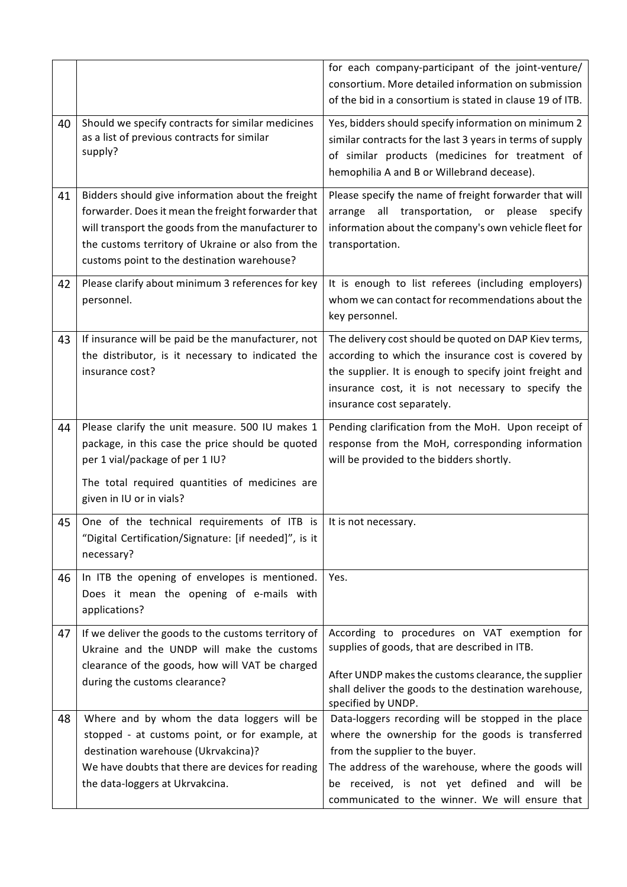|    |                                                                                                                                                                                                                                                                  | for each company-participant of the joint-venture/<br>consortium. More detailed information on submission<br>of the bid in a consortium is stated in clause 19 of ITB.                                                                                                                             |
|----|------------------------------------------------------------------------------------------------------------------------------------------------------------------------------------------------------------------------------------------------------------------|----------------------------------------------------------------------------------------------------------------------------------------------------------------------------------------------------------------------------------------------------------------------------------------------------|
| 40 | Should we specify contracts for similar medicines<br>as a list of previous contracts for similar<br>supply?                                                                                                                                                      | Yes, bidders should specify information on minimum 2<br>similar contracts for the last 3 years in terms of supply<br>of similar products (medicines for treatment of<br>hemophilia A and B or Willebrand decease).                                                                                 |
| 41 | Bidders should give information about the freight<br>forwarder. Does it mean the freight forwarder that<br>will transport the goods from the manufacturer to<br>the customs territory of Ukraine or also from the<br>customs point to the destination warehouse? | Please specify the name of freight forwarder that will<br>all<br>transportation, or please<br>arrange<br>specify<br>information about the company's own vehicle fleet for<br>transportation.                                                                                                       |
| 42 | Please clarify about minimum 3 references for key<br>personnel.                                                                                                                                                                                                  | It is enough to list referees (including employers)<br>whom we can contact for recommendations about the<br>key personnel.                                                                                                                                                                         |
| 43 | If insurance will be paid be the manufacturer, not<br>the distributor, is it necessary to indicated the<br>insurance cost?                                                                                                                                       | The delivery cost should be quoted on DAP Kiev terms,<br>according to which the insurance cost is covered by<br>the supplier. It is enough to specify joint freight and<br>insurance cost, it is not necessary to specify the<br>insurance cost separately.                                        |
| 44 | Please clarify the unit measure. 500 IU makes 1<br>package, in this case the price should be quoted<br>per 1 vial/package of per 1 IU?                                                                                                                           | Pending clarification from the MoH. Upon receipt of<br>response from the MoH, corresponding information<br>will be provided to the bidders shortly.                                                                                                                                                |
|    | The total required quantities of medicines are<br>given in IU or in vials?                                                                                                                                                                                       |                                                                                                                                                                                                                                                                                                    |
| 45 | One of the technical requirements of ITB is<br>"Digital Certification/Signature: [if needed]", is it<br>necessary?                                                                                                                                               | It is not necessary.                                                                                                                                                                                                                                                                               |
| 46 | In ITB the opening of envelopes is mentioned.<br>Does it mean the opening of e-mails with<br>applications?                                                                                                                                                       | Yes.                                                                                                                                                                                                                                                                                               |
| 47 | If we deliver the goods to the customs territory of<br>Ukraine and the UNDP will make the customs<br>clearance of the goods, how will VAT be charged<br>during the customs clearance?                                                                            | According to procedures on VAT exemption for<br>supplies of goods, that are described in ITB.<br>After UNDP makes the customs clearance, the supplier<br>shall deliver the goods to the destination warehouse,<br>specified by UNDP.                                                               |
| 48 | Where and by whom the data loggers will be<br>stopped - at customs point, or for example, at<br>destination warehouse (Ukrvakcina)?<br>We have doubts that there are devices for reading<br>the data-loggers at Ukrvakcina.                                      | Data-loggers recording will be stopped in the place<br>where the ownership for the goods is transferred<br>from the supplier to the buyer.<br>The address of the warehouse, where the goods will<br>be received, is not yet defined and will be<br>communicated to the winner. We will ensure that |